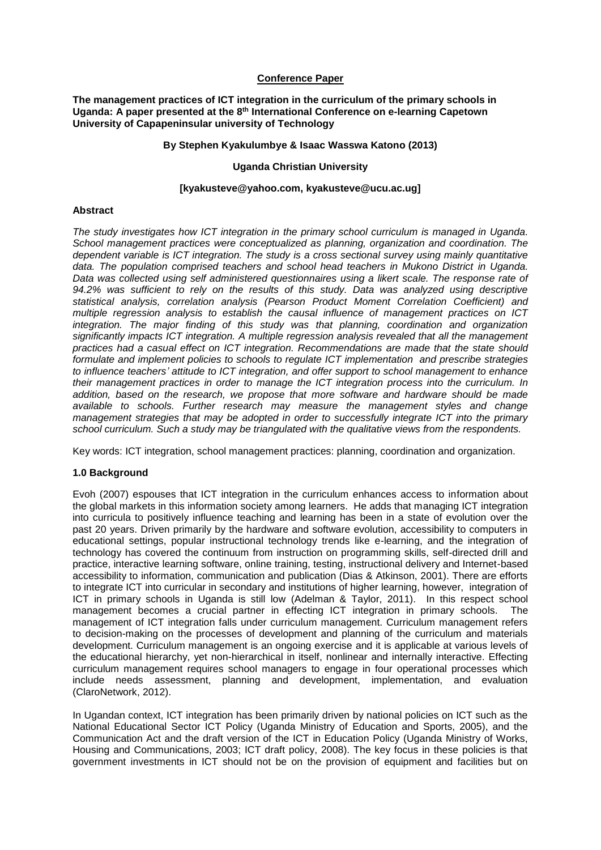### **Conference Paper**

**The management practices of ICT integration in the curriculum of the primary schools in Uganda: A paper presented at the 8th International Conference on e-learning Capetown University of Capapeninsular university of Technology**

#### **By Stephen Kyakulumbye & Isaac Wasswa Katono (2013)**

#### **Uganda Christian University**

#### **[kyakusteve@yahoo.com, kyakusteve@ucu.ac.ug]**

#### **Abstract**

*The study investigates how ICT integration in the primary school curriculum is managed in Uganda. School management practices were conceptualized as planning, organization and coordination. The dependent variable is ICT integration. The study is a cross sectional survey using mainly quantitative data. The population comprised teachers and school head teachers in Mukono District in Uganda. Data was collected using self administered questionnaires using a likert scale. The response rate of 94.2% was sufficient to rely on the results of this study. Data was analyzed using descriptive statistical analysis, correlation analysis (Pearson Product Moment Correlation Coefficient) and multiple regression analysis to establish the causal influence of management practices on ICT integration. The major finding of this study was that planning, coordination and organization significantly impacts ICT integration. A multiple regression analysis revealed that all the management practices had a casual effect on ICT integration. Recommendations are made that the state should formulate and implement policies to schools to regulate ICT implementation and prescribe strategies to influence teachers' attitude to ICT integration, and offer support to school management to enhance their management practices in order to manage the ICT integration process into the curriculum. In addition, based on the research, we propose that more software and hardware should be made available to schools. Further research may measure the management styles and change management strategies that may be adopted in order to successfully integrate ICT into the primary school curriculum. Such a study may be triangulated with the qualitative views from the respondents.*

Key words: ICT integration, school management practices: planning, coordination and organization.

# **1.0 Background**

Evoh (2007) espouses that ICT integration in the curriculum enhances access to information about the global markets in this information society among learners. He adds that managing ICT integration into curricula to positively influence teaching and learning has been in a state of evolution over the past 20 years. Driven primarily by the hardware and software evolution, accessibility to computers in educational settings, popular instructional technology trends like e-learning, and the integration of technology has covered the continuum from instruction on programming skills, self-directed drill and practice, interactive learning software, online training, testing, instructional delivery and Internet-based accessibility to information, communication and publication (Dias & Atkinson, 2001). There are efforts to integrate ICT into curricular in secondary and institutions of higher learning, however, integration of ICT in primary schools in Uganda is still low (Adelman & Taylor, 2011). In this respect school management becomes a crucial partner in effecting ICT integration in primary schools. The management of ICT integration falls under curriculum management. Curriculum management refers to decision-making on the processes of development and planning of the curriculum and materials development. Curriculum management is an ongoing exercise and it is applicable at various levels of the educational hierarchy, yet non-hierarchical in itself, nonlinear and internally interactive. Effecting curriculum management requires school managers to engage in four operational processes which include needs assessment, planning and development, implementation, and evaluation (ClaroNetwork, 2012).

In Ugandan context, ICT integration has been primarily driven by national policies on ICT such as the National Educational Sector ICT Policy (Uganda Ministry of Education and Sports, 2005), and the Communication Act and the draft version of the ICT in Education Policy (Uganda Ministry of Works, Housing and Communications, 2003; ICT draft policy, 2008). The key focus in these policies is that government investments in ICT should not be on the provision of equipment and facilities but on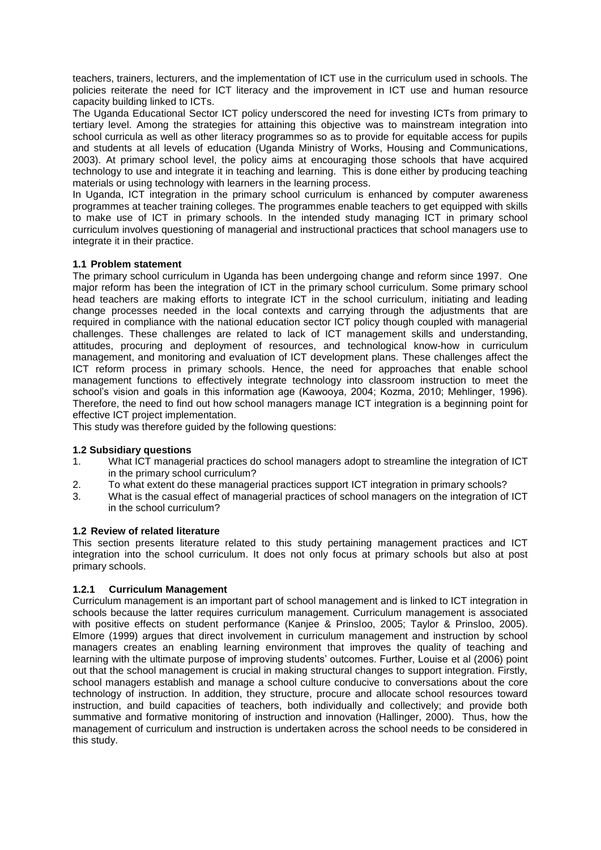teachers, trainers, lecturers, and the implementation of ICT use in the curriculum used in schools. The policies reiterate the need for ICT literacy and the improvement in ICT use and human resource capacity building linked to ICTs.

The Uganda Educational Sector ICT policy underscored the need for investing ICTs from primary to tertiary level. Among the strategies for attaining this objective was to mainstream integration into school curricula as well as other literacy programmes so as to provide for equitable access for pupils and students at all levels of education (Uganda Ministry of Works, Housing and Communications, 2003). At primary school level, the policy aims at encouraging those schools that have acquired technology to use and integrate it in teaching and learning. This is done either by producing teaching materials or using technology with learners in the learning process.

In Uganda, ICT integration in the primary school curriculum is enhanced by computer awareness programmes at teacher training colleges. The programmes enable teachers to get equipped with skills to make use of ICT in primary schools. In the intended study managing ICT in primary school curriculum involves questioning of managerial and instructional practices that school managers use to integrate it in their practice.

# **1.1 Problem statement**

The primary school curriculum in Uganda has been undergoing change and reform since 1997. One major reform has been the integration of ICT in the primary school curriculum. Some primary school head teachers are making efforts to integrate ICT in the school curriculum, initiating and leading change processes needed in the local contexts and carrying through the adjustments that are required in compliance with the national education sector ICT policy though coupled with managerial challenges. These challenges are related to lack of ICT management skills and understanding, attitudes, procuring and deployment of resources, and technological know-how in curriculum management, and monitoring and evaluation of ICT development plans. These challenges affect the ICT reform process in primary schools. Hence, the need for approaches that enable school management functions to effectively integrate technology into classroom instruction to meet the school's vision and goals in this information age (Kawooya, 2004; Kozma, 2010; Mehlinger, 1996). Therefore, the need to find out how school managers manage ICT integration is a beginning point for effective ICT project implementation.

This study was therefore guided by the following questions:

# **1.2 Subsidiary questions**

- 1. What ICT managerial practices do school managers adopt to streamline the integration of ICT in the primary school curriculum?
- 2. To what extent do these managerial practices support ICT integration in primary schools?
- 3. What is the casual effect of managerial practices of school managers on the integration of ICT in the school curriculum?

#### **1.2 Review of related literature**

This section presents literature related to this study pertaining management practices and ICT integration into the school curriculum. It does not only focus at primary schools but also at post primary schools.

# **1.2.1 Curriculum Management**

Curriculum management is an important part of school management and is linked to ICT integration in schools because the latter requires curriculum management. Curriculum management is associated with positive effects on student performance (Kanjee & Prinsloo, 2005; Taylor & Prinsloo, 2005). Elmore (1999) argues that direct involvement in curriculum management and instruction by school managers creates an enabling learning environment that improves the quality of teaching and learning with the ultimate purpose of improving students' outcomes. Further, Louise et al (2006) point out that the school management is crucial in making structural changes to support integration. Firstly, school managers establish and manage a school culture conducive to conversations about the core technology of instruction. In addition, they structure, procure and allocate school resources toward instruction, and build capacities of teachers, both individually and collectively; and provide both summative and formative monitoring of instruction and innovation (Hallinger, 2000). Thus, how the management of curriculum and instruction is undertaken across the school needs to be considered in this study.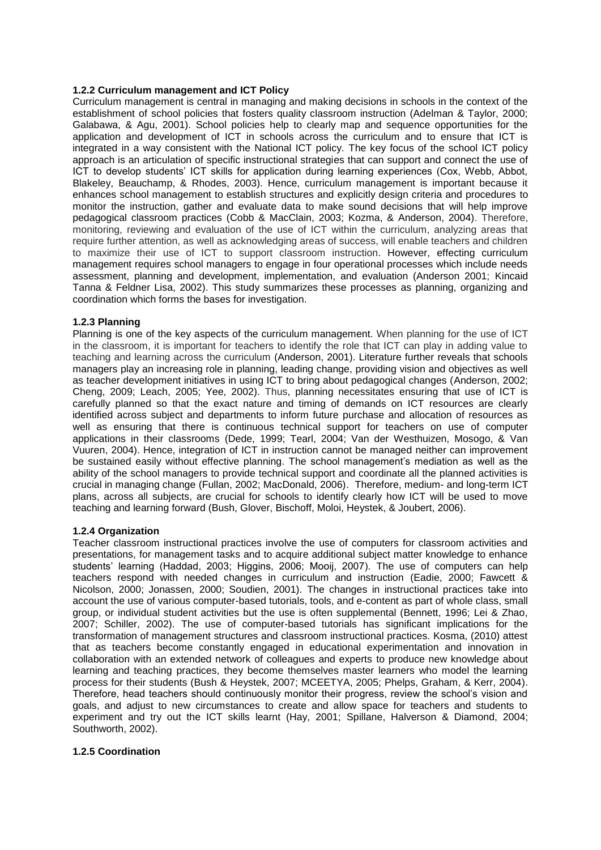#### **1.2.2 Curriculum management and ICT Policy**

Curriculum management is central in managing and making decisions in schools in the context of the establishment of school policies that fosters quality classroom instruction (Adelman & Taylor, 2000; Galabawa, & Agu, 2001). School policies help to clearly map and sequence opportunities for the application and development of ICT in schools across the curriculum and to ensure that ICT is integrated in a way consistent with the National ICT policy. The key focus of the school ICT policy approach is an articulation of specific instructional strategies that can support and connect the use of ICT to develop students' ICT skills for application during learning experiences (Cox, Webb, Abbot, Blakeley, Beauchamp, & Rhodes, 2003). Hence, curriculum management is important because it enhances school management to establish structures and explicitly design criteria and procedures to monitor the instruction, gather and evaluate data to make sound decisions that will help improve pedagogical classroom practices (Cobb & MacClain, 2003; Kozma, & Anderson, 2004). Therefore, monitoring, reviewing and evaluation of the use of ICT within the curriculum, analyzing areas that require further attention, as well as acknowledging areas of success, will enable teachers and children to maximize their use of ICT to support classroom instruction. However, effecting curriculum management requires school managers to engage in four operational processes which include needs assessment, planning and development, implementation, and evaluation (Anderson 2001; Kincaid Tanna & Feldner Lisa, 2002). This study summarizes these processes as planning, organizing and coordination which forms the bases for investigation.

### **1.2.3 Planning**

Planning is one of the key aspects of the curriculum management. When planning for the use of ICT in the classroom, it is important for teachers to identify the role that ICT can play in adding value to teaching and learning across the curriculum (Anderson, 2001). Literature further reveals that schools managers play an increasing role in planning, leading change, providing vision and objectives as well as teacher development initiatives in using ICT to bring about pedagogical changes (Anderson, 2002; Cheng, 2009; Leach, 2005; Yee, 2002). Thus, planning necessitates ensuring that use of ICT is carefully planned so that the exact nature and timing of demands on ICT resources are clearly identified across subject and departments to inform future purchase and allocation of resources as well as ensuring that there is continuous technical support for teachers on use of computer applications in their classrooms (Dede, 1999; Tearl, 2004; Van der Westhuizen, Mosogo, & Van Vuuren, 2004). Hence, integration of ICT in instruction cannot be managed neither can improvement be sustained easily without effective planning. The school management's mediation as well as the ability of the school managers to provide technical support and coordinate all the planned activities is crucial in managing change (Fullan, 2002; MacDonald, 2006). Therefore, medium- and long-term ICT plans, across all subjects, are crucial for schools to identify clearly how ICT will be used to move teaching and learning forward (Bush, Glover, Bischoff, Moloi, Heystek, & Joubert, 2006).

#### **1.2.4 Organization**

Teacher classroom instructional practices involve the use of computers for classroom activities and presentations, for management tasks and to acquire additional subject matter knowledge to enhance students' learning (Haddad, 2003; Higgins, 2006; Mooij, 2007). The use of computers can help teachers respond with needed changes in curriculum and instruction (Eadie, 2000; Fawcett & Nicolson, 2000; Jonassen, 2000; Soudien, 2001). The changes in instructional practices take into account the use of various computer-based tutorials, tools, and e-content as part of whole class, small group, or individual student activities but the use is often supplemental (Bennett, 1996; Lei & Zhao, 2007; Schiller, 2002). The use of computer-based tutorials has significant implications for the transformation of management structures and classroom instructional practices. Kosma, (2010) attest that as teachers become constantly engaged in educational experimentation and innovation in collaboration with an extended network of colleagues and experts to produce new knowledge about learning and teaching practices, they become themselves master learners who model the learning process for their students (Bush & Heystek, 2007; MCEETYA, 2005; Phelps, Graham, & Kerr, 2004). Therefore, head teachers should continuously monitor their progress, review the school's vision and goals, and adjust to new circumstances to create and allow space for teachers and students to experiment and try out the ICT skills learnt (Hay, 2001; Spillane, Halverson & Diamond, 2004; Southworth, 2002).

#### **1.2.5 Coordination**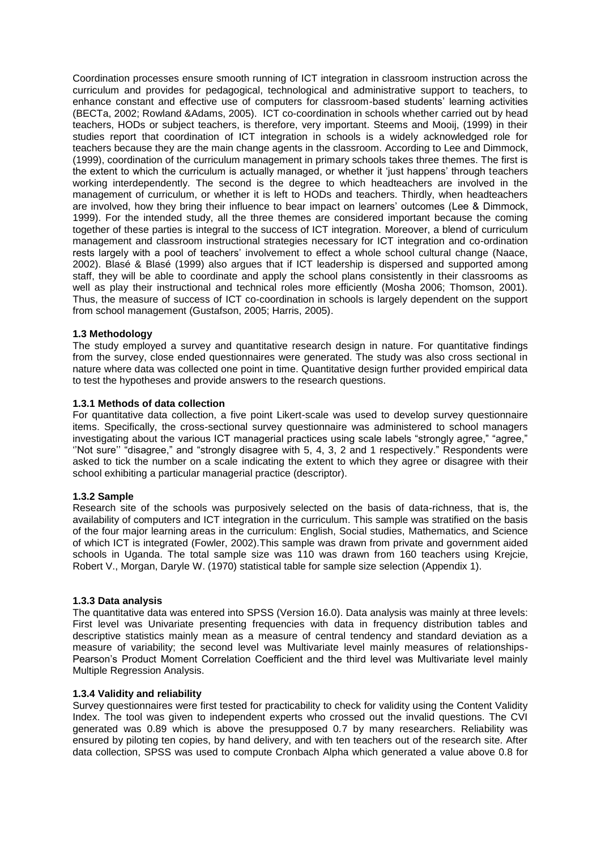Coordination processes ensure smooth running of ICT integration in classroom instruction across the curriculum and provides for pedagogical, technological and administrative support to teachers, to enhance constant and effective use of computers for classroom-based students' learning activities (BECTa, 2002; Rowland &Adams, 2005). ICT co-coordination in schools whether carried out by head teachers, HODs or subject teachers, is therefore, very important. Steems and Mooij, (1999) in their studies report that coordination of ICT integration in schools is a widely acknowledged role for teachers because they are the main change agents in the classroom. According to Lee and Dimmock, (1999), coordination of the curriculum management in primary schools takes three themes. The first is the extent to which the curriculum is actually managed, or whether it 'just happens' through teachers working interdependently. The second is the degree to which headteachers are involved in the management of curriculum, or whether it is left to HODs and teachers. Thirdly, when headteachers are involved, how they bring their influence to bear impact on learners' outcomes (Lee & Dimmock, 1999). For the intended study, all the three themes are considered important because the coming together of these parties is integral to the success of ICT integration. Moreover, a blend of curriculum management and classroom instructional strategies necessary for ICT integration and co-ordination rests largely with a pool of teachers' involvement to effect a whole school cultural change (Naace, 2002). Blasé & Blasé (1999) also argues that if ICT leadership is dispersed and supported among staff, they will be able to coordinate and apply the school plans consistently in their classrooms as well as play their instructional and technical roles more efficiently (Mosha 2006; Thomson, 2001). Thus, the measure of success of ICT co-coordination in schools is largely dependent on the support from school management (Gustafson, 2005; Harris, 2005).

### **1.3 Methodology**

The study employed a survey and quantitative research design in nature. For quantitative findings from the survey, close ended questionnaires were generated. The study was also cross sectional in nature where data was collected one point in time. Quantitative design further provided empirical data to test the hypotheses and provide answers to the research questions.

#### **1.3.1 Methods of data collection**

For quantitative data collection, a five point Likert-scale was used to develop survey questionnaire items. Specifically, the cross-sectional survey questionnaire was administered to school managers investigating about the various ICT managerial practices using scale labels "strongly agree," "agree," ''Not sure'' "disagree," and "strongly disagree with 5, 4, 3, 2 and 1 respectively." Respondents were asked to tick the number on a scale indicating the extent to which they agree or disagree with their school exhibiting a particular managerial practice (descriptor).

#### **1.3.2 Sample**

Research site of the schools was purposively selected on the basis of data-richness, that is, the availability of computers and ICT integration in the curriculum. This sample was stratified on the basis of the four major learning areas in the curriculum: English, Social studies, Mathematics, and Science of which ICT is integrated (Fowler, 2002).This sample was drawn from private and government aided schools in Uganda. The total sample size was 110 was drawn from 160 teachers using Krejcie, Robert V., Morgan, Daryle W. (1970) statistical table for sample size selection (Appendix 1).

#### **1.3.3 Data analysis**

The quantitative data was entered into SPSS (Version 16.0). Data analysis was mainly at three levels: First level was Univariate presenting frequencies with data in frequency distribution tables and descriptive statistics mainly mean as a measure of central tendency and standard deviation as a measure of variability; the second level was Multivariate level mainly measures of relationships-Pearson's Product Moment Correlation Coefficient and the third level was Multivariate level mainly Multiple Regression Analysis.

### **1.3.4 Validity and reliability**

Survey questionnaires were first tested for practicability to check for validity using the Content Validity Index. The tool was given to independent experts who crossed out the invalid questions. The CVI generated was 0.89 which is above the presupposed 0.7 by many researchers. Reliability was ensured by piloting ten copies, by hand delivery, and with ten teachers out of the research site. After data collection, SPSS was used to compute Cronbach Alpha which generated a value above 0.8 for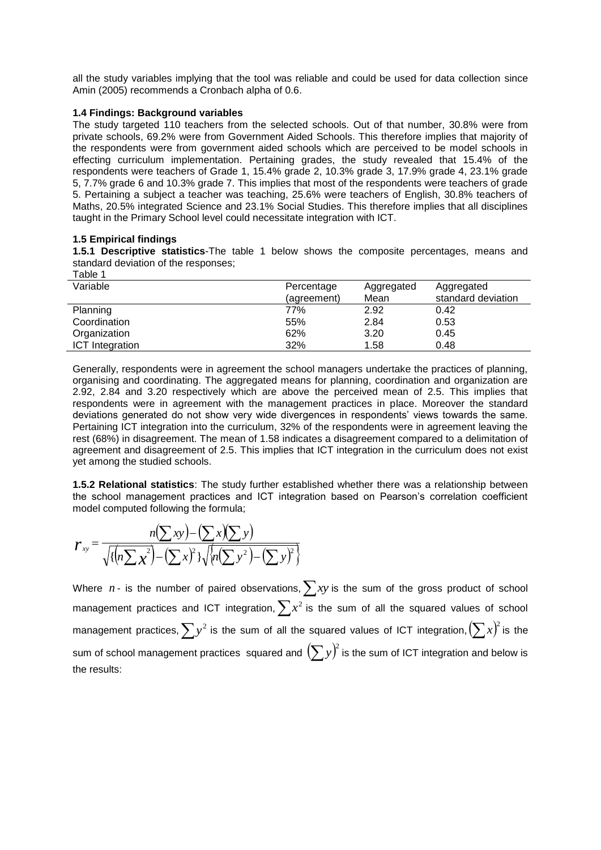all the study variables implying that the tool was reliable and could be used for data collection since Amin (2005) recommends a Cronbach alpha of 0.6.

### **1.4 Findings: Background variables**

The study targeted 110 teachers from the selected schools. Out of that number, 30.8% were from private schools, 69.2% were from Government Aided Schools. This therefore implies that majority of the respondents were from government aided schools which are perceived to be model schools in effecting curriculum implementation. Pertaining grades, the study revealed that 15.4% of the respondents were teachers of Grade 1, 15.4% grade 2, 10.3% grade 3, 17.9% grade 4, 23.1% grade 5, 7.7% grade 6 and 10.3% grade 7. This implies that most of the respondents were teachers of grade 5. Pertaining a subject a teacher was teaching, 25.6% were teachers of English, 30.8% teachers of Maths, 20.5% integrated Science and 23.1% Social Studies. This therefore implies that all disciplines taught in the Primary School level could necessitate integration with ICT.

### **1.5 Empirical findings**

**1.5.1 Descriptive statistics**-The table 1 below shows the composite percentages, means and standard deviation of the responses;  $T$ able 1

| i abie i               |             |            |                    |  |
|------------------------|-------------|------------|--------------------|--|
| Variable               | Percentage  | Aggregated | Aggregated         |  |
|                        | (agreement) | Mean       | standard deviation |  |
| Planning               | 77%         | 2.92       | 0.42               |  |
| Coordination           | 55%         | 2.84       | 0.53               |  |
| Organization           | 62%         | 3.20       | 0.45               |  |
| <b>ICT</b> Integration | 32%         | 1.58       | 0.48               |  |
|                        |             |            |                    |  |

Generally, respondents were in agreement the school managers undertake the practices of planning, organising and coordinating. The aggregated means for planning, coordination and organization are 2.92, 2.84 and 3.20 respectively which are above the perceived mean of 2.5. This implies that respondents were in agreement with the management practices in place. Moreover the standard deviations generated do not show very wide divergences in respondents' views towards the same. Pertaining ICT integration into the curriculum, 32% of the respondents were in agreement leaving the rest (68%) in disagreement. The mean of 1.58 indicates a disagreement compared to a delimitation of agreement and disagreement of 2.5. This implies that ICT integration in the curriculum does not exist yet among the studied schools.

**1.5.2 Relational statistics**: The study further established whether there was a relationship between the school management practices and ICT integration based on Pearson's correlation coefficient model computed following the formula;

$$
\boldsymbol{r}_{xy} = \frac{n(\sum xy) - (\sum x)(\sum y)}{\sqrt{\left\{ \left( n \sum x^2 \right) - (\sum x)^2 \right\} \sqrt{\left\{ n (\sum y^2) - (\sum y)^2 \right\}}}}
$$

Where  $n$  - is the number of paired observations,  $\sum xy$  is the sum of the gross product of school management practices and ICT integration,  $\sum x^2$  is the sum of all the squared values of school management practices,  $\sum y^2$  is the sum of all the squared values of ICT integration,  $(\sum x)^2$  is the sum of school management practices squared and  $\left(\sum y\right)^2$  is the sum of ICT integration and below is the results: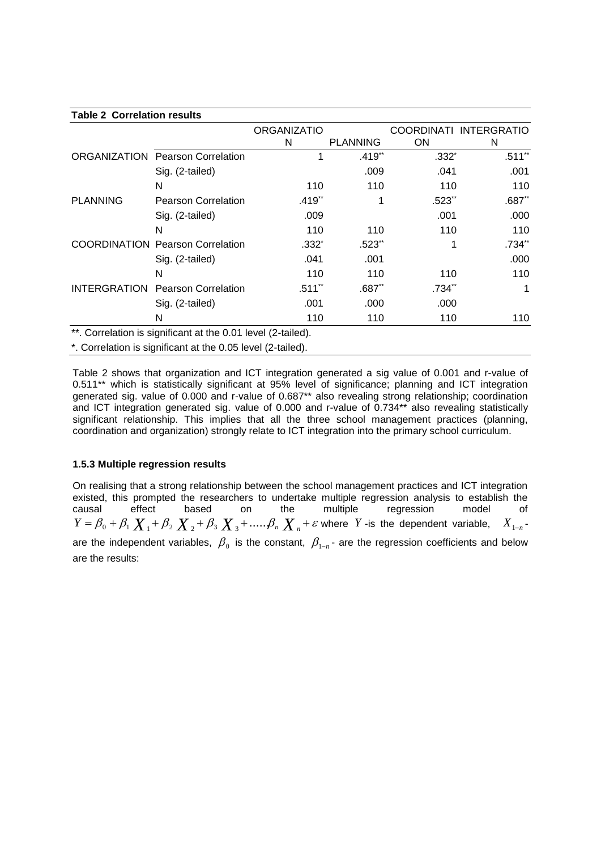### **Table 2 Correlation results**

|                 |                                                                   | <b>ORGANIZATIO</b> |                      | COORDINATI           | <b>INTERGRATIO</b> |
|-----------------|-------------------------------------------------------------------|--------------------|----------------------|----------------------|--------------------|
|                 |                                                                   | N                  | <b>PLANNING</b>      | <b>ON</b>            | N                  |
|                 | <b>ORGANIZATION Pearson Correlation</b>                           |                    | $.419**$             | $.332*$              | $.511**$           |
|                 | Sig. (2-tailed)                                                   |                    | .009                 | .041                 | .001               |
|                 | N                                                                 | 110                | 110                  | 110                  | 110                |
| <b>PLANNING</b> | <b>Pearson Correlation</b>                                        | $.419**$           |                      | $.523$ <sup>**</sup> | $.687**$           |
|                 | Sig. (2-tailed)                                                   | .009               |                      | .001                 | .000               |
|                 | N                                                                 | 110                | 110                  | 110                  | 110                |
|                 | <b>COORDINATION Pearson Correlation</b>                           | $.332*$            | $.523$ <sup>**</sup> |                      | $.734**$           |
|                 | Sig. (2-tailed)                                                   | .041               | .001                 |                      | .000               |
|                 | N                                                                 | 110                | 110                  | 110                  | 110                |
|                 | <b>INTERGRATION Pearson Correlation</b>                           | $.511**$           | $.687**$             | .734**               | 1                  |
|                 | Sig. (2-tailed)                                                   | .001               | .000                 | .000                 |                    |
|                 | N                                                                 | 110                | 110                  | 110                  | 110                |
|                 | $**$ Organization in plane finance of the OO4 local (O to ill all |                    |                      |                      |                    |

. Correlation is significant at the 0.01 level (2-tailed).

\*. Correlation is significant at the 0.05 level (2-tailed).

Table 2 shows that organization and ICT integration generated a sig value of 0.001 and r-value of 0.511\*\* which is statistically significant at 95% level of significance; planning and ICT integration generated sig. value of 0.000 and r-value of 0.687\*\* also revealing strong relationship; coordination and ICT integration generated sig. value of 0.000 and r-value of 0.734\*\* also revealing statistically significant relationship. This implies that all the three school management practices (planning, coordination and organization) strongly relate to ICT integration into the primary school curriculum.

# **1.5.3 Multiple regression results**

On realising that a strong relationship between the school management practices and ICT integration existed, this prompted the researchers to undertake multiple regression analysis to establish the<br>causal effect based on the multiple regression model of effect based on the multiple regression model of  $Y = \beta_0 + \beta_1 \chi_1 + \beta_2 \chi_2 + \beta_3 \chi_3 + \dots$   $\beta_n \chi_n + \varepsilon$  where *Y* -is the dependent variable,  $X_{1-n}$ are the independent variables,  $\,\beta_{_0}\,$  is the constant,  $\,\beta_{_{1-n}}\,$ - are the regression coefficients and below are the results: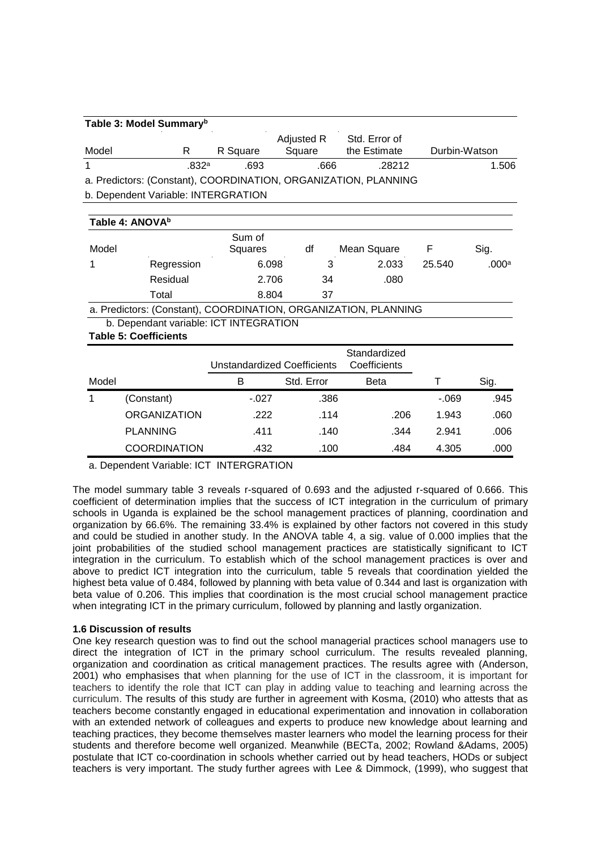| Table 3: Model Summary <sup>b</sup>                             |                  |          |                      |                               |               |  |  |  |  |
|-----------------------------------------------------------------|------------------|----------|----------------------|-------------------------------|---------------|--|--|--|--|
| Model                                                           | R                | R Square | Adjusted R<br>Square | Std. Error of<br>the Estimate | Durbin-Watson |  |  |  |  |
|                                                                 | 832 <sup>a</sup> | .693     | .666                 | .28212                        | 1.506         |  |  |  |  |
| a. Predictors: (Constant), COORDINATION, ORGANIZATION, PLANNING |                  |          |                      |                               |               |  |  |  |  |
| b. Dependent Variable: INTERGRATION                             |                  |          |                      |                               |               |  |  |  |  |

| Table 4: ANOVA <sup>b</sup> |                   |                   |    |             |        |       |  |  |  |  |
|-----------------------------|-------------------|-------------------|----|-------------|--------|-------|--|--|--|--|
| Model                       |                   | Sum of<br>Squares | df | Mean Square |        | Sig.  |  |  |  |  |
|                             | Regression        | 6.098             |    | 2.033       | 25.540 | .000a |  |  |  |  |
|                             | Residual          | 2.706             | 34 | .080        |        |       |  |  |  |  |
|                             | Total             | 8.804             | 37 |             |        |       |  |  |  |  |
|                             | $R = \frac{1}{2}$ |                   |    |             |        |       |  |  |  |  |

a. Predictors: (Constant), COORDINATION, ORGANIZATION, PLANNING b. Dependant variable: ICT INTEGRATION

**Table 5: Coefficients**

|       |                     | Unstandardized Coefficients |            | Standardized<br>Coefficients |        |      |
|-------|---------------------|-----------------------------|------------|------------------------------|--------|------|
| Model |                     | в                           | Std. Error | Beta                         |        | Sig. |
|       | (Constant)          | $-.027$                     | .386       |                              | $-069$ | .945 |
|       | <b>ORGANIZATION</b> | .222                        | .114       | .206                         | 1.943  | .060 |
|       | <b>PLANNING</b>     | .411                        | .140       | .344                         | 2.941  | .006 |
|       | <b>COORDINATION</b> | .432                        | .100       | .484                         | 4.305  | .000 |

a. Dependent Variable: ICT INTERGRATION

The model summary table 3 reveals r-squared of 0.693 and the adjusted r-squared of 0.666. This coefficient of determination implies that the success of ICT integration in the curriculum of primary schools in Uganda is explained be the school management practices of planning, coordination and organization by 66.6%. The remaining 33.4% is explained by other factors not covered in this study and could be studied in another study. In the ANOVA table 4, a sig. value of 0.000 implies that the joint probabilities of the studied school management practices are statistically significant to ICT integration in the curriculum. To establish which of the school management practices is over and above to predict ICT integration into the curriculum, table 5 reveals that coordination yielded the highest beta value of 0.484, followed by planning with beta value of 0.344 and last is organization with beta value of 0.206. This implies that coordination is the most crucial school management practice when integrating ICT in the primary curriculum, followed by planning and lastly organization.

# **1.6 Discussion of results**

One key research question was to find out the school managerial practices school managers use to direct the integration of ICT in the primary school curriculum. The results revealed planning, organization and coordination as critical management practices. The results agree with (Anderson, 2001) who emphasises that when planning for the use of ICT in the classroom, it is important for teachers to identify the role that ICT can play in adding value to teaching and learning across the curriculum. The results of this study are further in agreement with Kosma, (2010) who attests that as teachers become constantly engaged in educational experimentation and innovation in collaboration with an extended network of colleagues and experts to produce new knowledge about learning and teaching practices, they become themselves master learners who model the learning process for their students and therefore become well organized. Meanwhile (BECTa, 2002; Rowland &Adams, 2005) postulate that ICT co-coordination in schools whether carried out by head teachers, HODs or subject teachers is very important. The study further agrees with Lee & Dimmock, (1999), who suggest that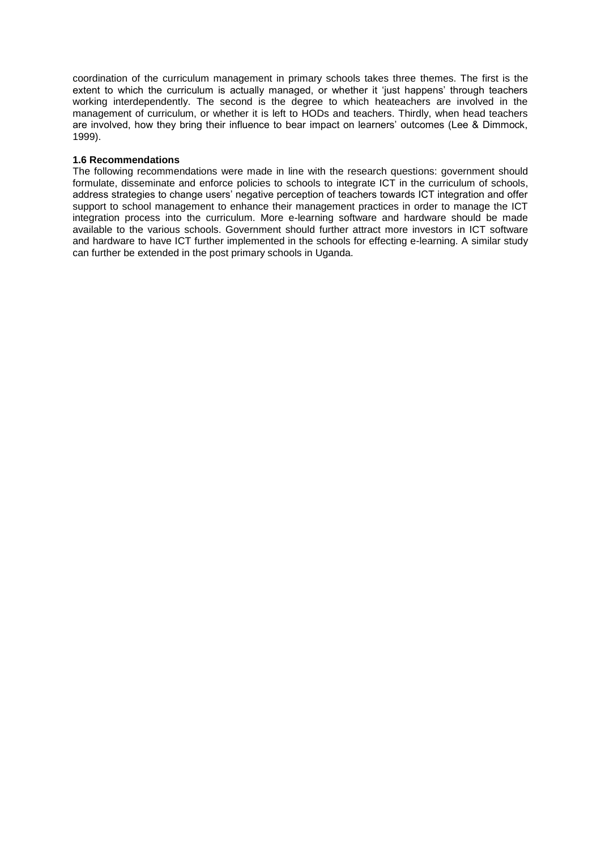coordination of the curriculum management in primary schools takes three themes. The first is the extent to which the curriculum is actually managed, or whether it 'just happens' through teachers working interdependently. The second is the degree to which heateachers are involved in the management of curriculum, or whether it is left to HODs and teachers. Thirdly, when head teachers are involved, how they bring their influence to bear impact on learners' outcomes (Lee & Dimmock, 1999).

### **1.6 Recommendations**

The following recommendations were made in line with the research questions: government should formulate, disseminate and enforce policies to schools to integrate ICT in the curriculum of schools, address strategies to change users' negative perception of teachers towards ICT integration and offer support to school management to enhance their management practices in order to manage the ICT integration process into the curriculum. More e-learning software and hardware should be made available to the various schools. Government should further attract more investors in ICT software and hardware to have ICT further implemented in the schools for effecting e-learning. A similar study can further be extended in the post primary schools in Uganda.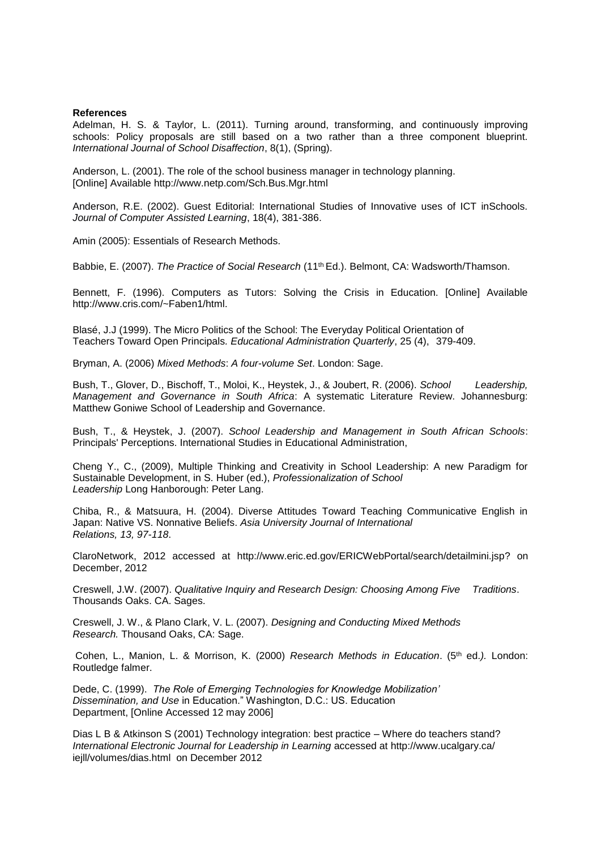#### **References**

Adelman, H. S. & Taylor, L. (2011). [Turning around, transforming, and continuously improving](http://smhp.psych.ucla.edu/publications/turningaroundtransforming.pdf)  [schools: Policy proposals are still based on a two rather than a three component blueprint.](http://smhp.psych.ucla.edu/publications/turningaroundtransforming.pdf) *International Journal of School Disaffection*, 8(1), (Spring).

Anderson, L. (2001). The role of the school business manager in technology planning. [Online] Available http://www.netp.com/Sch.Bus.Mgr.html

Anderson, R.E. (2002). Guest Editorial: International Studies of Innovative uses of ICT inSchools. *Journal of Computer Assisted Learning*, 18(4), 381-386.

Amin (2005): Essentials of Research Methods.

Babbie, E. (2007). *The Practice of Social Research* (11th Ed.). Belmont, CA: Wadsworth/Thamson.

Bennett, F. (1996). Computers as Tutors: Solving the Crisis in Education. [Online] Available http://www.cris.com/~Faben1/html.

Blasé, J.J (1999). The Micro Politics of the School: The Everyday Political Orientation of Teachers Toward Open Principals*. Educational Administration Quarterly*, 25 (4), 379-409.

Bryman, A. (2006) *Mixed Methods*: *A four-volume Set*. London: Sage.

Bush, T., Glover, D., Bischoff, T., Moloi, K., Heystek, J., & Joubert, R. (2006). *School Leadership, Management and Governance in South Africa*: A systematic Literature Review. Johannesburg: Matthew Goniwe School of Leadership and Governance.

Bush, T., & Heystek, J. (2007). *School Leadership and Management in South African Schools*: Principals' Perceptions. International Studies in Educational Administration,

Cheng Y., C., (2009), Multiple Thinking and Creativity in School Leadership: A new Paradigm for Sustainable Development, in S. Huber (ed.), *Professionalization of School Leadership* Long Hanborough: Peter Lang.

Chiba, R., & Matsuura, H. (2004). Diverse Attitudes Toward Teaching Communicative English in Japan: Native VS. Nonnative Beliefs. *Asia University Journal of International Relations, 13, 97-118*.

ClaroNetwork, 2012 accessed at [http://www.eric.ed.gov/ERICWebPortal/search/detailmini.jsp?](http://www.eric.ed.gov/ERICWebPortal/search/detailmini.jsp) on December, 2012

Creswell, J.W. (2007). *Qualitative Inquiry and Research Design: Choosing Among Five Traditions*. Thousands Oaks. CA. Sages.

Creswell, J. W., & Plano Clark, V. L. (2007). *Designing and Conducting Mixed Methods Research.* Thousand Oaks, CA: Sage.

Cohen, L., Manion, L. & Morrison, K. (2000) *Research Methods in Education*. (5<sup>th</sup> ed.). London: Routledge falmer.

Dede, C. (1999). *The Role of Emerging Technologies for Knowledge Mobilization' Dissemination, and Use* in Education." Washington, D.C.: US. Education Department, [Online Accessed 12 may 2006]

Dias L B & Atkinson S (2001) Technology integration: best practice – Where do teachers stand? *International Electronic Journal for Leadership in Learning* accessed at<http://www.ucalgary.ca/> iejll/volumes/dias.html on December 2012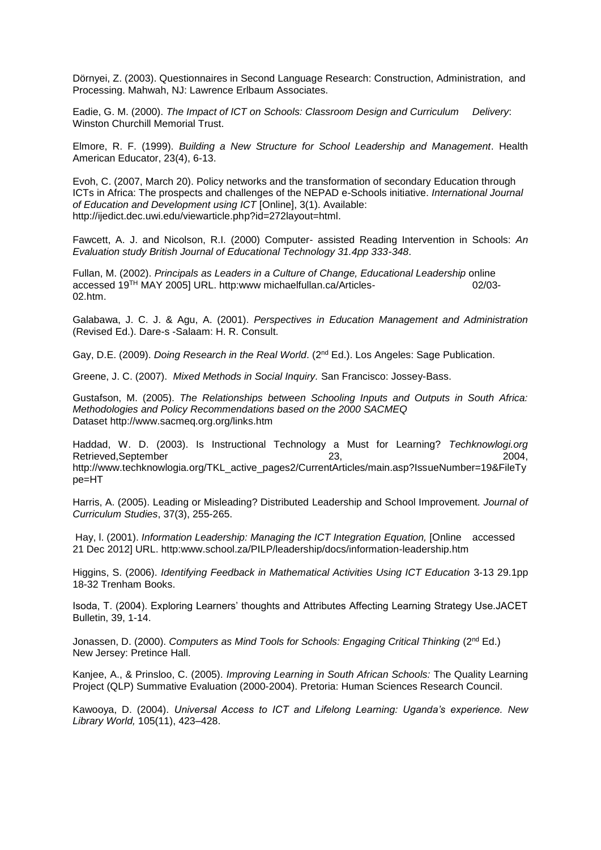Dörnyei, Z. (2003). Questionnaires in Second Language Research: Construction, Administration, and Processing. Mahwah, NJ: Lawrence Erlbaum Associates.

Eadie, G. M. (2000). *The Impact of ICT on Schools: Classroom Design and Curriculum Delivery*: Winston Churchill Memorial Trust.

Elmore, R. F. (1999). *Building a New Structure for School Leadership and Management*. Health American Educator, 23(4), 6-13.

Evoh, C. (2007, March 20). Policy networks and the transformation of secondary Education through ICTs in Africa: The prospects and challenges of the NEPAD e-Schools initiative. *International Journal of Education and Development using ICT* [Online], 3(1). Available: [http://ijedict.dec.uwi.edu/viewarticle.php?id=272layout=html.](http://ijedict.dec.uwi.edu/viewarticle.php?id=272layout=html)

Fawcett, A. J. and Nicolson, R.I. (2000) Computer- assisted Reading Intervention in Schools: *An Evaluation study British Journal of Educational Technology 31.4pp 333-348*.

Fullan, M. (2002). *Principals as Leaders in a Culture of Change, Educational Leadership* online accessed 19TH MAY 2005] URL. http:www michaelfullan.ca/Articles- 02/03- 02.htm.

Galabawa, J. C. J. & Agu, A. (2001). *Perspectives in Education Management and Administration*  (Revised Ed.). Dare-s -Salaam: H. R. Consult.

Gay, D.E. (2009). *Doing Research in the Real World*. (2nd Ed.). Los Angeles: Sage Publication.

Greene, J. C. (2007). *Mixed Methods in Social Inquiry.* San Francisco: Jossey-Bass.

Gustafson, M. (2005). *The Relationships between Schooling Inputs and Outputs in South Africa: Methodologies and Policy Recommendations based on the 2000 SACMEQ* Dataset http://www.sacmeq.org.org/links.htm

Haddad, W. D. (2003). Is Instructional Technology a Must for Learning? *Techknowlogi.org*  Retrieved,September 23, 2004, [http://www.techknowlogia.org/TKL\\_active\\_pages2/CurrentArticles/main.asp?Issu](http://www.techknowlogia.org/TKL_active_pages2/CurrentArticles/main.asp?Iss)eNumber=19&FileTy pe=HT

Harris, A. (2005). Leading or Misleading? Distributed Leadership and School Improvement*. Journal of Curriculum Studies*, 37(3), 255-265.

Hay, l. (2001). *Information Leadership: Managing the ICT Integration Equation,* [Online accessed 21 Dec 2012] URL. http:www.school.za/PILP/leadership/docs/information-leadership.htm

Higgins, S. (2006). *Identifying Feedback in Mathematical Activities Using ICT Education* 3-13 29.1pp 18-32 Trenham Books.

Isoda, T. (2004). Exploring Learners' thoughts and Attributes Affecting Learning Strategy Use.JACET Bulletin, 39, 1-14.

Jonassen, D. (2000). *Computers as Mind Tools for Schools: Engaging Critical Thinking* (2nd Ed.) New Jersey: Pretince Hall.

Kanjee, A., & Prinsloo, C. (2005). *Improving Learning in South African Schools:* The Quality Learning Project (QLP) Summative Evaluation (2000-2004). Pretoria: Human Sciences Research Council.

Kawooya, D. (2004). *Universal Access to ICT and Lifelong Learning: Uganda's experience. New Library World,* 105(11), 423–428.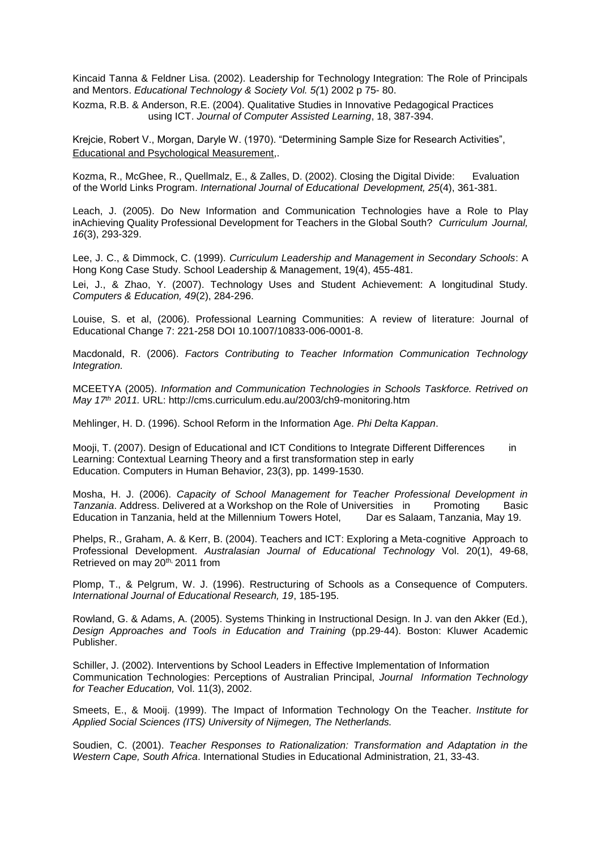Kincaid Tanna & Feldner Lisa. (2002). Leadership for Technology Integration: The Role of Principals and Mentors. *Educational Technology & Society Vol. 5(*1) 2002 p 75- 80.

Kozma, R.B. & Anderson, R.E. (2004). Qualitative Studies in Innovative Pedagogical Practices using ICT. *Journal of Computer Assisted Learning*, 18, 387-394.

Krejcie, Robert V., Morgan, Daryle W. (1970). "Determining Sample Size for Research Activities", Educational and Psychological Measurement,.

Kozma, R., McGhee, R., Quellmalz, E., & Zalles, D. (2002). Closing the Digital Divide: Evaluation of the World Links Program. *International Journal of Educational Development, 25*(4), 361-381.

Leach, J. (2005). Do New Information and Communication Technologies have a Role to Play inAchieving Quality Professional Development for Teachers in the Global South? *Curriculum Journal, 16*(3), 293-329.

Lee, J. C., & Dimmock, C. (1999). *Curriculum Leadership and Management in Secondary Schools*: A Hong Kong Case Study. School Leadership & Management, 19(4), 455-481.

Lei, J., & Zhao, Y. (2007). Technology Uses and Student Achievement: A longitudinal Study. *Computers & Education, 49*(2), 284-296.

Louise, S. et al, (2006). Professional Learning Communities: A review of literature: Journal of Educational Change 7: 221-258 DOI 10.1007/10833-006-0001-8.

Macdonald, R. (2006). *Factors Contributing to Teacher Information Communication Technology Integration.*

MCEETYA (2005). *Information and Communication Technologies in Schools Taskforce. Retrived on May 17th 2011.* URL: [http://cms.curriculum.edu.au/2003/ch9-m](http://cms.curriculum.edu.au/2003/ch9-)onitoring.htm

Mehlinger, H. D. (1996). School Reform in the Information Age. *Phi Delta Kappan*.

Mooji, T. (2007). Design of Educational and ICT Conditions to Integrate Different Differences in Learning: Contextual Learning Theory and a first transformation step in early Education. Computers in Human Behavior, 23(3), pp. 1499-1530.

Mosha, H. J. (2006). *Capacity of School Management for Teacher Professional Development in*  **Tanzania. Address. Delivered at a Workshop on the Role of Universities in Promoting Basic** Education in Tanzania, held at the Millennium Towers Hotel, Dar es Salaam, Tanzania, May 19.

Phelps, R., Graham, A. & Kerr, B. (2004). Teachers and ICT: Exploring a Meta-cognitive Approach to Professional Development. *Australasian Journal of Educational Technology* Vol. 20(1), 49-68, Retrieved on may 20th, 2011 from

Plomp, T., & Pelgrum, W. J. (1996). Restructuring of Schools as a Consequence of Computers. *International Journal of Educational Research, 19*, 185-195.

Rowland, G. & Adams, A. (2005). Systems Thinking in Instructional Design. In J. van den Akker (Ed.), *Design Approaches and Tools in Education and Training* (pp.29-44). Boston: Kluwer Academic Publisher.

Schiller, J. (2002). Interventions by School Leaders in Effective Implementation of Information Communication Technologies: Perceptions of Australian Principal, *Journal Information Technology for Teacher Education,* Vol. 11(3), 2002.

Smeets, E., & Mooij. (1999). The Impact of Information Technology On the Teacher. *Institute for Applied Social Sciences (ITS) University of Nijmegen, The Netherlands.* 

Soudien, C. (2001). *Teacher Responses to Rationalization: Transformation and Adaptation in the Western Cape, South Africa*. International Studies in Educational Administration, 21, 33-43.